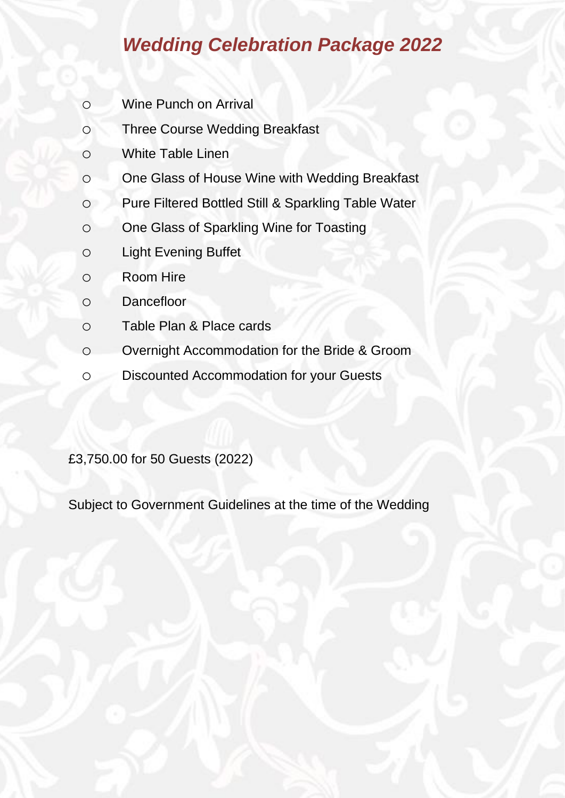# *Wedding Celebration Package 2022*

- o Wine Punch on Arrival
- o Three Course Wedding Breakfast
- o White Table Linen
- o One Glass of House Wine with Wedding Breakfast
- o Pure Filtered Bottled Still & Sparkling Table Water
- o One Glass of Sparkling Wine for Toasting
- o Light Evening Buffet
- o Room Hire
- o Dancefloor
- o Table Plan & Place cards
- o Overnight Accommodation for the Bride & Groom
- o Discounted Accommodation for your Guests

£3,750.00 for 50 Guests (2022)

Subject to Government Guidelines at the time of the Wedding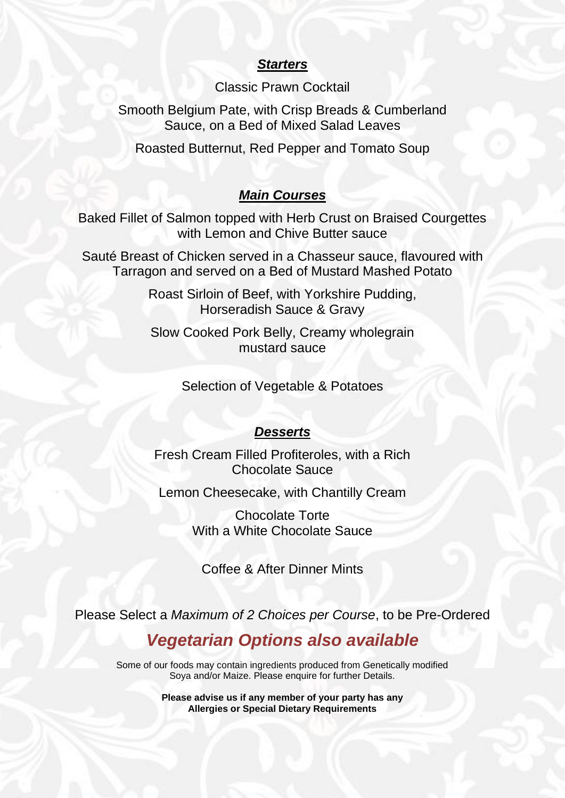#### *Starters*

Classic Prawn Cocktail

Smooth Belgium Pate, with Crisp Breads & Cumberland Sauce, on a Bed of Mixed Salad Leaves

Roasted Butternut, Red Pepper and Tomato Soup

#### *Main Courses*

Baked Fillet of Salmon topped with Herb Crust on Braised Courgettes with Lemon and Chive Butter sauce

Sauté Breast of Chicken served in a Chasseur sauce, flavoured with Tarragon and served on a Bed of Mustard Mashed Potato

> Roast Sirloin of Beef, with Yorkshire Pudding, Horseradish Sauce & Gravy

Slow Cooked Pork Belly, Creamy wholegrain mustard sauce

Selection of Vegetable & Potatoes

#### *Desserts*

Fresh Cream Filled Profiteroles, with a Rich Chocolate Sauce

Lemon Cheesecake, with Chantilly Cream

Chocolate Torte With a White Chocolate Sauce

Coffee & After Dinner Mints

Please Select a *Maximum of 2 Choices per Course*, to be Pre-Ordered

### *Vegetarian Options also available*

Some of our foods may contain ingredients produced from Genetically modified Soya and/or Maize. Please enquire for further Details.

> **Please advise us if any member of your party has any Allergies or Special Dietary Requirements**